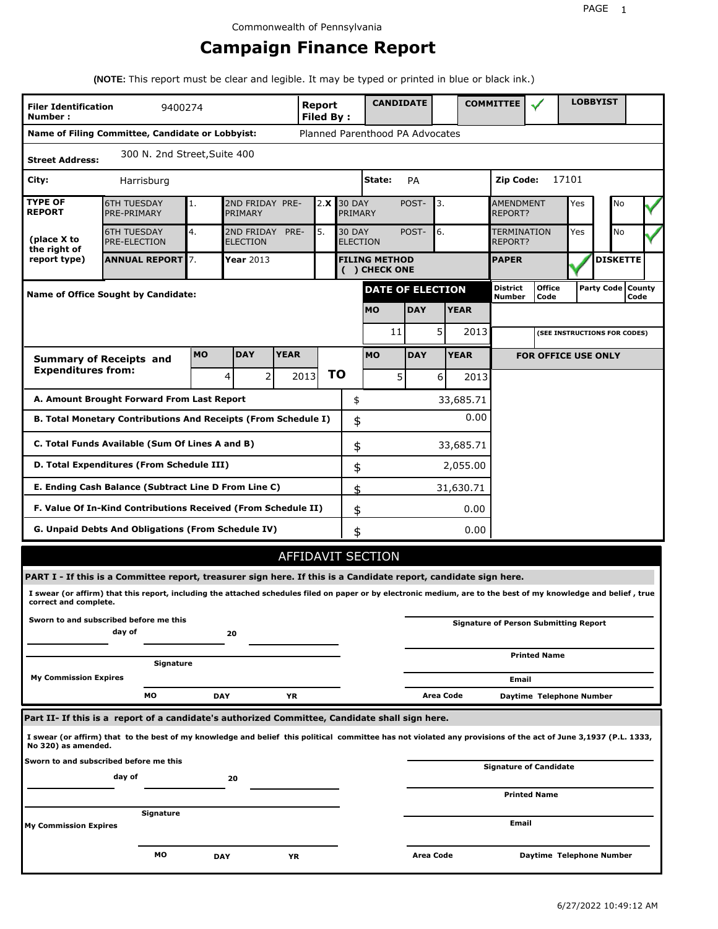# **Campaign Finance Report**

**(NOTE:** This report must be clear and legible. It may be typed or printed in blue or black ink.)

| <b>Filer Identification</b><br>Number:                                       | 9400274                                                                                                                                                         |           |                                                                                 |             | Report<br><b>Filed By:</b> |    |                                       |             | <b>CANDIDATE</b> |           |                                      | <b>COMMITTEE</b>   |                                              |    | <b>LOBBYIST</b>     |      |  |
|------------------------------------------------------------------------------|-----------------------------------------------------------------------------------------------------------------------------------------------------------------|-----------|---------------------------------------------------------------------------------|-------------|----------------------------|----|---------------------------------------|-------------|------------------|-----------|--------------------------------------|--------------------|----------------------------------------------|----|---------------------|------|--|
|                                                                              | Name of Filing Committee, Candidate or Lobbyist:                                                                                                                |           |                                                                                 |             |                            |    | Planned Parenthood PA Advocates       |             |                  |           |                                      |                    |                                              |    |                     |      |  |
| 300 N. 2nd Street, Suite 400<br><b>Street Address:</b>                       |                                                                                                                                                                 |           |                                                                                 |             |                            |    |                                       |             |                  |           |                                      |                    |                                              |    |                     |      |  |
| State:<br>City:<br>PA<br>Harrisburg                                          |                                                                                                                                                                 |           |                                                                                 |             |                            |    |                                       |             |                  |           | Zip Code:                            |                    | 17101                                        |    |                     |      |  |
| <b>TYPE OF</b><br><b>REPORT</b>                                              | <b>6TH TUESDAY</b><br>PRE-PRIMARY                                                                                                                               | 1.        | 2ND FRIDAY PRE-<br><b>30 DAY</b><br>2.X<br>PRIMARY<br>PRIMARY                   |             |                            |    |                                       | POST-<br>3. |                  |           | <b>AMENDMENT</b><br><b>REPORT?</b>   |                    | Yes                                          | No |                     |      |  |
| (place X to<br>the right of                                                  | <b>6TH TUESDAY</b><br>PRE-ELECTION                                                                                                                              | 4.        | 5.<br>2ND FRIDAY<br>PRE-<br><b>30 DAY</b><br><b>ELECTION</b><br><b>ELECTION</b> |             |                            |    |                                       | POST-       | 6.               |           | <b>TERMINATION</b><br><b>REPORT?</b> |                    | Yes                                          | No |                     |      |  |
| report type)                                                                 | <b>ANNUAL REPORT</b> 7.                                                                                                                                         |           | Year 2013                                                                       |             |                            |    | <b>FILING METHOD</b><br>( ) CHECK ONE |             |                  |           |                                      | <b>PAPER</b>       |                                              |    | <b>DISKETTE</b>     |      |  |
|                                                                              | <b>Name of Office Sought by Candidate:</b>                                                                                                                      |           |                                                                                 |             |                            |    |                                       |             | DATE OF ELECTION |           |                                      | District<br>Number | <b>Office</b><br>Code                        |    | Party Code   County | Code |  |
|                                                                              |                                                                                                                                                                 |           |                                                                                 |             |                            |    | <b>MO</b>                             |             | <b>DAY</b>       |           | <b>YEAR</b>                          |                    |                                              |    |                     |      |  |
|                                                                              |                                                                                                                                                                 |           |                                                                                 |             |                            |    |                                       | 11          |                  | 5         | 2013                                 |                    | (SEE INSTRUCTIONS FOR CODES)                 |    |                     |      |  |
|                                                                              | <b>Summary of Receipts and</b>                                                                                                                                  | <b>MO</b> | <b>DAY</b>                                                                      | <b>YEAR</b> |                            |    | <b>MO</b>                             |             | <b>DAY</b>       |           | <b>YEAR</b>                          |                    | <b>FOR OFFICE USE ONLY</b>                   |    |                     |      |  |
| <b>Expenditures from:</b>                                                    |                                                                                                                                                                 |           | 2 <sup>1</sup><br>4                                                             |             | 2013                       | ΤO |                                       | 5           |                  | $6 \mid$  | 2013                                 |                    |                                              |    |                     |      |  |
|                                                                              | A. Amount Brought Forward From Last Report                                                                                                                      |           |                                                                                 |             |                            |    | \$                                    |             |                  |           | 33,685.71                            |                    |                                              |    |                     |      |  |
| 0.00<br>B. Total Monetary Contributions And Receipts (From Schedule I)<br>\$ |                                                                                                                                                                 |           |                                                                                 |             |                            |    |                                       |             |                  |           |                                      |                    |                                              |    |                     |      |  |
| C. Total Funds Available (Sum Of Lines A and B)<br>\$<br>33,685.71           |                                                                                                                                                                 |           |                                                                                 |             |                            |    |                                       |             |                  |           |                                      |                    |                                              |    |                     |      |  |
| D. Total Expenditures (From Schedule III)<br>\$<br>2,055.00                  |                                                                                                                                                                 |           |                                                                                 |             |                            |    |                                       |             |                  |           |                                      |                    |                                              |    |                     |      |  |
|                                                                              | E. Ending Cash Balance (Subtract Line D From Line C)                                                                                                            |           |                                                                                 |             |                            |    | \$                                    |             |                  |           | 31,630.71                            |                    |                                              |    |                     |      |  |
|                                                                              | F. Value Of In-Kind Contributions Received (From Schedule II)                                                                                                   |           |                                                                                 |             |                            |    | \$                                    |             |                  |           | 0.00                                 |                    |                                              |    |                     |      |  |
|                                                                              | <b>G. Unpaid Debts And Obligations (From Schedule IV)</b>                                                                                                       |           |                                                                                 |             |                            |    | \$                                    |             |                  |           | 0.00                                 |                    |                                              |    |                     |      |  |
|                                                                              |                                                                                                                                                                 |           |                                                                                 |             |                            |    | AFFIDAVIT SECTION                     |             |                  |           |                                      |                    |                                              |    |                     |      |  |
|                                                                              | PART I - If this is a Committee report, treasurer sign here. If this is a Candidate report, candidate sign here.                                                |           |                                                                                 |             |                            |    |                                       |             |                  |           |                                      |                    |                                              |    |                     |      |  |
| correct and complete.                                                        | I swear (or affirm) that this report, including the attached schedules filed on paper or by electronic medium, are to the best of my knowledge and belief, true |           |                                                                                 |             |                            |    |                                       |             |                  |           |                                      |                    |                                              |    |                     |      |  |
|                                                                              | Sworn to and subscribed before me this<br>day of                                                                                                                |           | 20                                                                              |             |                            |    |                                       |             |                  |           |                                      |                    | <b>Signature of Person Submitting Report</b> |    |                     |      |  |
|                                                                              | Signature                                                                                                                                                       |           |                                                                                 |             |                            |    |                                       |             |                  |           |                                      |                    | <b>Printed Name</b>                          |    |                     |      |  |
| <b>My Commission Expires</b>                                                 |                                                                                                                                                                 |           |                                                                                 |             |                            |    |                                       |             |                  |           |                                      | Email              |                                              |    |                     |      |  |
|                                                                              | МO                                                                                                                                                              |           | <b>DAY</b>                                                                      | ΥR          |                            |    |                                       |             |                  | Area Code |                                      |                    | Daytime Telephone Number                     |    |                     |      |  |
|                                                                              | Part II- If this is a report of a candidate's authorized Committee, Candidate shall sign here.                                                                  |           |                                                                                 |             |                            |    |                                       |             |                  |           |                                      |                    |                                              |    |                     |      |  |
| No 320) as amended.                                                          | I swear (or affirm) that to the best of my knowledge and belief this political committee has not violated any provisions of the act of June 3,1937 (P.L. 1333,  |           |                                                                                 |             |                            |    |                                       |             |                  |           |                                      |                    |                                              |    |                     |      |  |
|                                                                              | Sworn to and subscribed before me this<br>day of                                                                                                                |           |                                                                                 |             |                            |    |                                       |             |                  |           |                                      |                    | Signature of Candidate                       |    |                     |      |  |
|                                                                              |                                                                                                                                                                 |           | 20                                                                              |             |                            |    |                                       |             |                  |           |                                      |                    | <b>Printed Name</b>                          |    |                     |      |  |
|                                                                              | Signature                                                                                                                                                       |           |                                                                                 |             |                            |    |                                       |             |                  |           |                                      | Email              |                                              |    |                     |      |  |
| <b>My Commission Expires</b>                                                 |                                                                                                                                                                 |           |                                                                                 |             |                            |    |                                       |             |                  |           |                                      |                    |                                              |    |                     |      |  |
|                                                                              | МO                                                                                                                                                              |           | <b>DAY</b>                                                                      | YR          |                            |    |                                       |             | Area Code        |           |                                      |                    | Daytime Telephone Number                     |    |                     |      |  |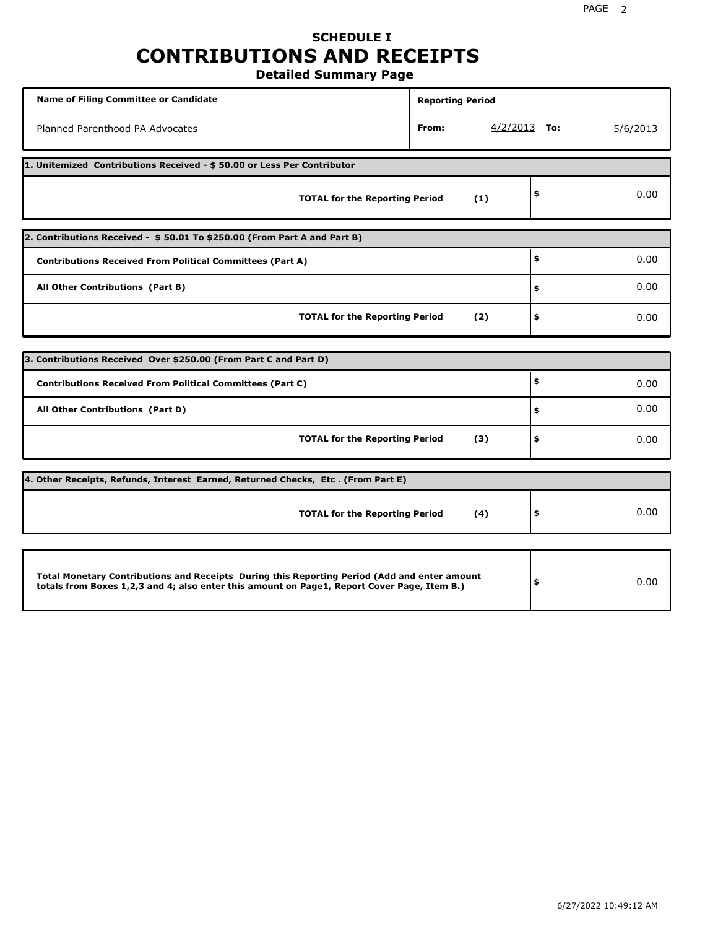# **SCHEDULE I CONTRIBUTIONS AND RECEIPTS**

**Detailed Summary Page**

| <b>Name of Filing Committee or Candidate</b>                                                                                                                                                | <b>Reporting Period</b> |                |          |  |  |  |  |  |  |
|---------------------------------------------------------------------------------------------------------------------------------------------------------------------------------------------|-------------------------|----------------|----------|--|--|--|--|--|--|
| Planned Parenthood PA Advocates                                                                                                                                                             | From:                   | $4/2/2013$ To: | 5/6/2013 |  |  |  |  |  |  |
| 1. Unitemized Contributions Received - \$50.00 or Less Per Contributor                                                                                                                      |                         |                |          |  |  |  |  |  |  |
| <b>TOTAL for the Reporting Period</b>                                                                                                                                                       | (1)                     | \$             | 0.00     |  |  |  |  |  |  |
| 2. Contributions Received - \$50.01 To \$250.00 (From Part A and Part B)                                                                                                                    |                         |                |          |  |  |  |  |  |  |
| <b>Contributions Received From Political Committees (Part A)</b>                                                                                                                            |                         | \$             | 0.00     |  |  |  |  |  |  |
| All Other Contributions (Part B)                                                                                                                                                            | \$                      | 0.00           |          |  |  |  |  |  |  |
| <b>TOTAL for the Reporting Period</b>                                                                                                                                                       | \$                      | 0.00           |          |  |  |  |  |  |  |
|                                                                                                                                                                                             |                         |                |          |  |  |  |  |  |  |
| 3. Contributions Received Over \$250.00 (From Part C and Part D)                                                                                                                            |                         | \$             |          |  |  |  |  |  |  |
| <b>Contributions Received From Political Committees (Part C)</b>                                                                                                                            |                         |                | 0.00     |  |  |  |  |  |  |
| All Other Contributions (Part D)                                                                                                                                                            |                         | \$             | 0.00     |  |  |  |  |  |  |
| <b>TOTAL for the Reporting Period</b>                                                                                                                                                       | (3)                     | \$             | 0.00     |  |  |  |  |  |  |
| 4. Other Receipts, Refunds, Interest Earned, Returned Checks, Etc. (From Part E)                                                                                                            |                         |                |          |  |  |  |  |  |  |
| <b>TOTAL for the Reporting Period</b>                                                                                                                                                       | (4)                     | \$             | 0.00     |  |  |  |  |  |  |
|                                                                                                                                                                                             |                         |                |          |  |  |  |  |  |  |
| Total Monetary Contributions and Receipts During this Reporting Period (Add and enter amount<br>totals from Boxes 1,2,3 and 4; also enter this amount on Page1, Report Cover Page, Item B.) |                         | \$             | 0.00     |  |  |  |  |  |  |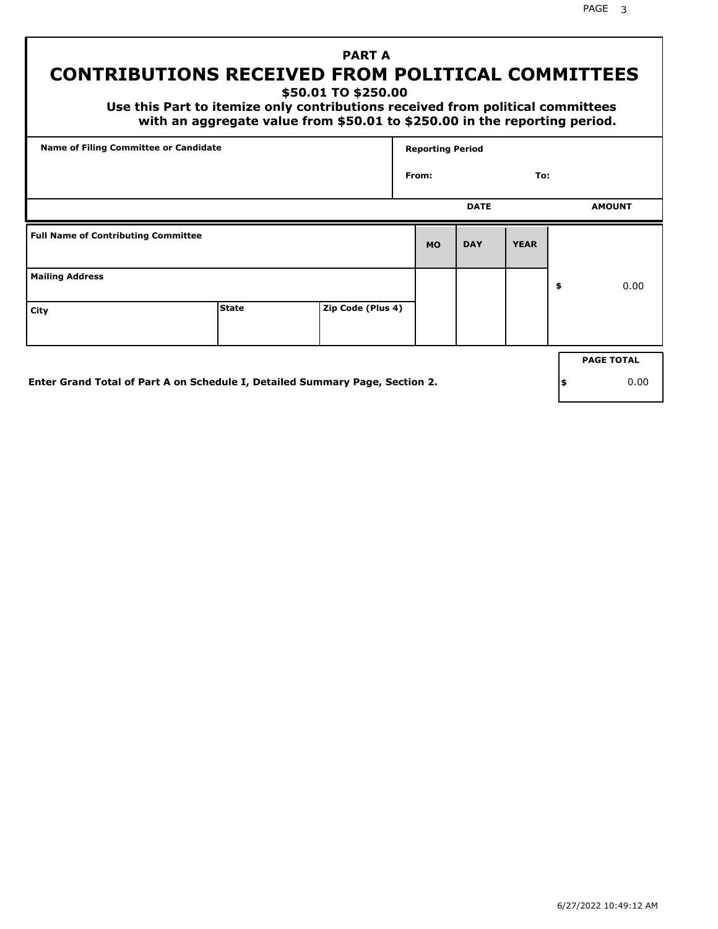PAGE 3

## **PART A CONTRIBUTIONS RECEIVED FROM POLITICAL COMMITTEES**

**\$50.01 TO \$250.00**

 **Use this Part to itemize only contributions received from political committees with an aggregate value from \$50.01 to \$250.00 in the reporting period.**

| <b>Name of Filing Committee or Candidate</b> |                                                                              |                   |           | <b>Reporting Period</b> |             |    |                   |
|----------------------------------------------|------------------------------------------------------------------------------|-------------------|-----------|-------------------------|-------------|----|-------------------|
|                                              |                                                                              |                   | From:     |                         | To:         |    |                   |
|                                              |                                                                              |                   |           | <b>DATE</b>             |             |    | <b>AMOUNT</b>     |
| <b>Full Name of Contributing Committee</b>   |                                                                              |                   | <b>MO</b> | <b>DAY</b>              | <b>YEAR</b> |    |                   |
| <b>Mailing Address</b>                       |                                                                              |                   |           |                         |             | \$ | 0.00              |
| City                                         | <b>State</b>                                                                 | Zip Code (Plus 4) |           |                         |             |    |                   |
|                                              |                                                                              |                   |           |                         |             |    | <b>PAGE TOTAL</b> |
|                                              | Enter Grand Total of Part A on Schedule I, Detailed Summary Page, Section 2. |                   |           |                         |             | \$ | 0.00              |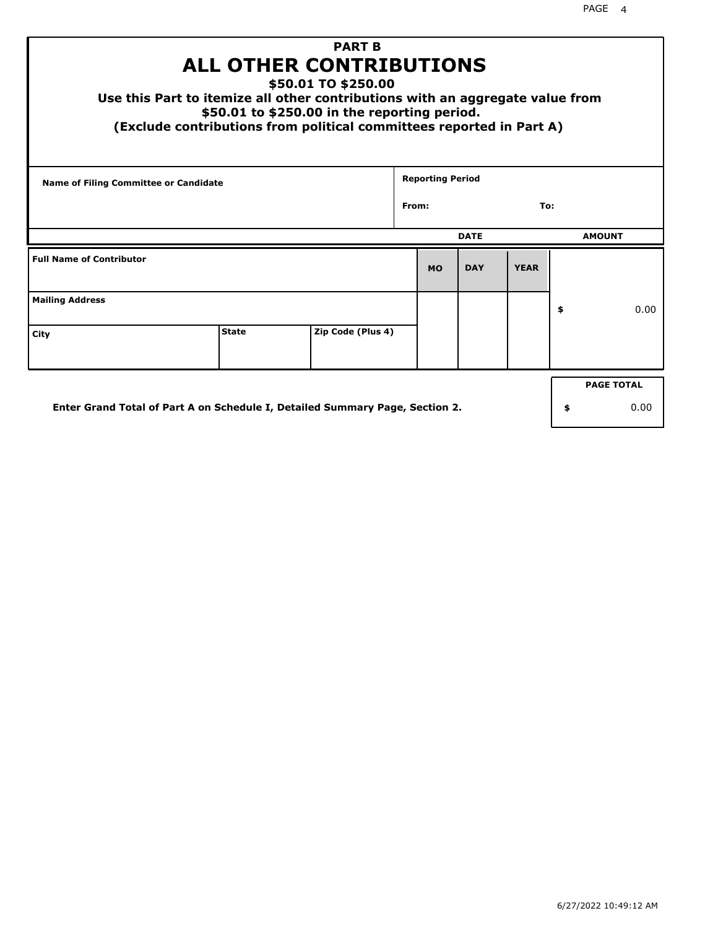| <b>PART B</b><br>ALL OTHER CONTRIBUTIONS<br>\$50.01 TO \$250.00<br>Use this Part to itemize all other contributions with an aggregate value from<br>\$50.01 to \$250.00 in the reporting period.<br>(Exclude contributions from political committees reported in Part A) |              |                   |  |                         |             |             |    |                   |
|--------------------------------------------------------------------------------------------------------------------------------------------------------------------------------------------------------------------------------------------------------------------------|--------------|-------------------|--|-------------------------|-------------|-------------|----|-------------------|
| <b>Name of Filing Committee or Candidate</b>                                                                                                                                                                                                                             |              |                   |  | <b>Reporting Period</b> |             |             |    |                   |
| From:<br>To:                                                                                                                                                                                                                                                             |              |                   |  |                         |             |             |    |                   |
|                                                                                                                                                                                                                                                                          |              |                   |  |                         | <b>DATE</b> |             |    | <b>AMOUNT</b>     |
| <b>Full Name of Contributor</b>                                                                                                                                                                                                                                          |              |                   |  | <b>MO</b>               | <b>DAY</b>  | <b>YEAR</b> |    |                   |
| <b>Mailing Address</b>                                                                                                                                                                                                                                                   |              |                   |  |                         |             |             | \$ | 0.00              |
| City                                                                                                                                                                                                                                                                     | <b>State</b> | Zip Code (Plus 4) |  |                         |             |             |    |                   |
|                                                                                                                                                                                                                                                                          |              |                   |  |                         |             |             |    | <b>PAGE TOTAL</b> |
| Enter Grand Total of Part A on Schedule I, Detailed Summary Page, Section 2.<br>0.00<br>\$                                                                                                                                                                               |              |                   |  |                         |             |             |    |                   |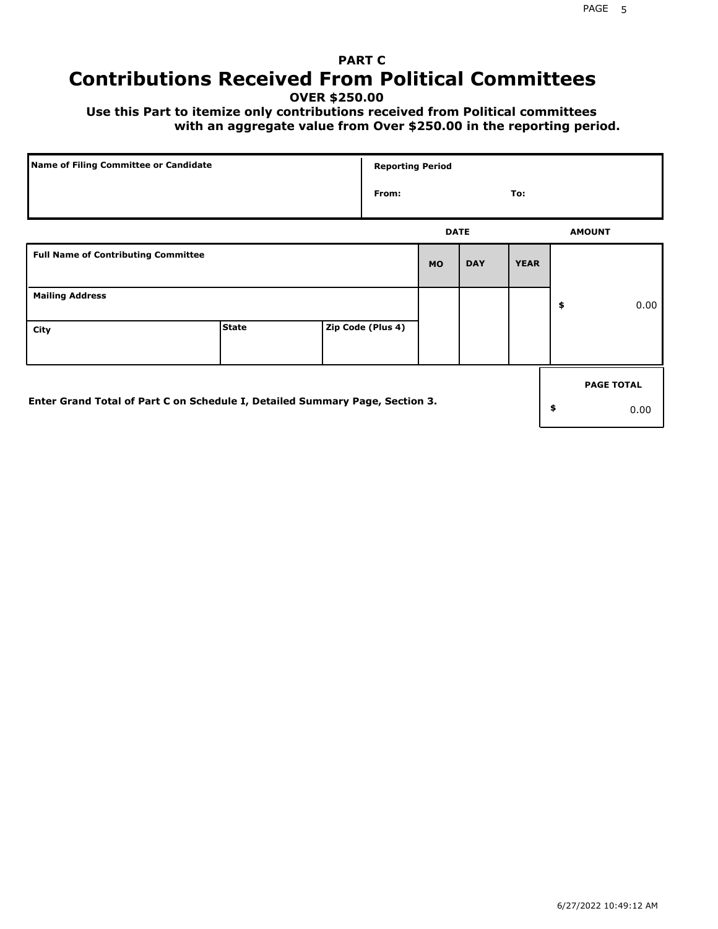## **PART C Contributions Received From Political Committees**

**OVER \$250.00**

 **Use this Part to itemize only contributions received from Political committees with an aggregate value from Over \$250.00 in the reporting period.**

| Name of Filing Committee or Candidate                                        |              |  |                   |             | <b>Reporting Period</b> |             |    |                   |  |  |
|------------------------------------------------------------------------------|--------------|--|-------------------|-------------|-------------------------|-------------|----|-------------------|--|--|
|                                                                              |              |  | From:             |             |                         | To:         |    |                   |  |  |
|                                                                              |              |  |                   | <b>DATE</b> |                         |             |    | <b>AMOUNT</b>     |  |  |
| <b>Full Name of Contributing Committee</b>                                   |              |  |                   | <b>MO</b>   | <b>DAY</b>              | <b>YEAR</b> |    |                   |  |  |
| <b>Mailing Address</b>                                                       |              |  |                   |             |                         |             | \$ | 0.00              |  |  |
| City                                                                         | <b>State</b> |  | Zip Code (Plus 4) |             |                         |             |    |                   |  |  |
|                                                                              |              |  |                   |             |                         |             |    | <b>PAGE TOTAL</b> |  |  |
| Enter Grand Total of Part C on Schedule I, Detailed Summary Page, Section 3. |              |  |                   |             |                         |             | \$ | 0.00              |  |  |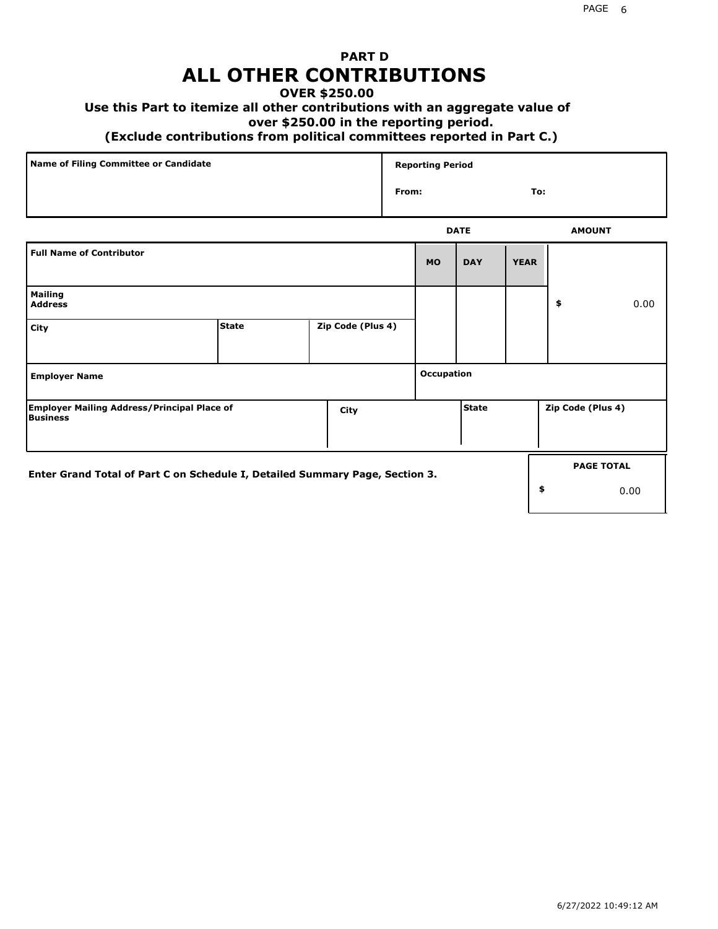### **PART D ALL OTHER CONTRIBUTIONS**

### **OVER \$250.00**

### **Use this Part to itemize all other contributions with an aggregate value of**

#### **over \$250.00 in the reporting period.**

#### **(Exclude contributions from political committees reported in Part C.)**

| Name of Filing Committee or Candidate | <b>Reporting Period</b> |     |
|---------------------------------------|-------------------------|-----|
|                                       | From:                   | To: |
|                                       |                         |     |

|                                                                              |              |                   |                   | <b>DATE</b>  |             | <b>AMOUNT</b>     |
|------------------------------------------------------------------------------|--------------|-------------------|-------------------|--------------|-------------|-------------------|
| <b>Full Name of Contributor</b>                                              |              |                   | <b>MO</b>         | <b>DAY</b>   | <b>YEAR</b> |                   |
| <b>Mailing</b><br><b>Address</b>                                             |              |                   |                   |              |             | \$<br>0.00        |
| City                                                                         | <b>State</b> | Zip Code (Plus 4) |                   |              |             |                   |
| <b>Employer Name</b>                                                         |              |                   | <b>Occupation</b> |              |             |                   |
| <b>Employer Mailing Address/Principal Place of</b><br>Business               |              | City              |                   | <b>State</b> |             | Zip Code (Plus 4) |
| Enter Grand Total of Part C on Schedule I, Detailed Summary Page, Section 3. |              |                   |                   |              |             | <b>PAGE TOTAL</b> |
|                                                                              |              |                   |                   |              |             | \$<br>0.00        |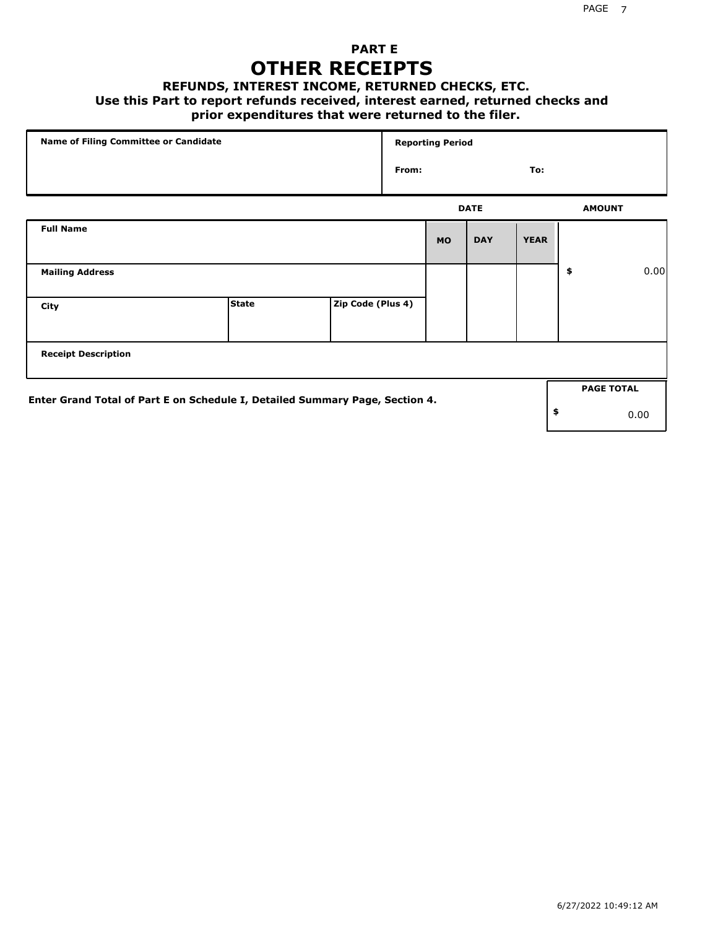### **PART E OTHER RECEIPTS**

#### **REFUNDS, INTEREST INCOME, RETURNED CHECKS, ETC.**

 **Use this Part to report refunds received, interest earned, returned checks and**

### **prior expenditures that were returned to the filer.**

| Name of Filing Committee or Candidate                                        |              |                   | <b>Reporting Period</b> |           |             |             |    |                   |      |
|------------------------------------------------------------------------------|--------------|-------------------|-------------------------|-----------|-------------|-------------|----|-------------------|------|
|                                                                              |              |                   | From:                   |           |             | To:         |    |                   |      |
|                                                                              |              |                   |                         |           | <b>DATE</b> |             |    | <b>AMOUNT</b>     |      |
| <b>Full Name</b>                                                             |              |                   |                         | <b>MO</b> | <b>DAY</b>  | <b>YEAR</b> |    |                   |      |
| <b>Mailing Address</b>                                                       |              |                   |                         |           |             |             | \$ |                   | 0.00 |
| City                                                                         | <b>State</b> | Zip Code (Plus 4) |                         |           |             |             |    |                   |      |
| <b>Receipt Description</b>                                                   |              |                   |                         |           |             |             |    |                   |      |
|                                                                              |              |                   |                         |           |             |             |    | <b>PAGE TOTAL</b> |      |
| Enter Grand Total of Part E on Schedule I, Detailed Summary Page, Section 4. |              |                   |                         |           |             |             | \$ |                   | 0.00 |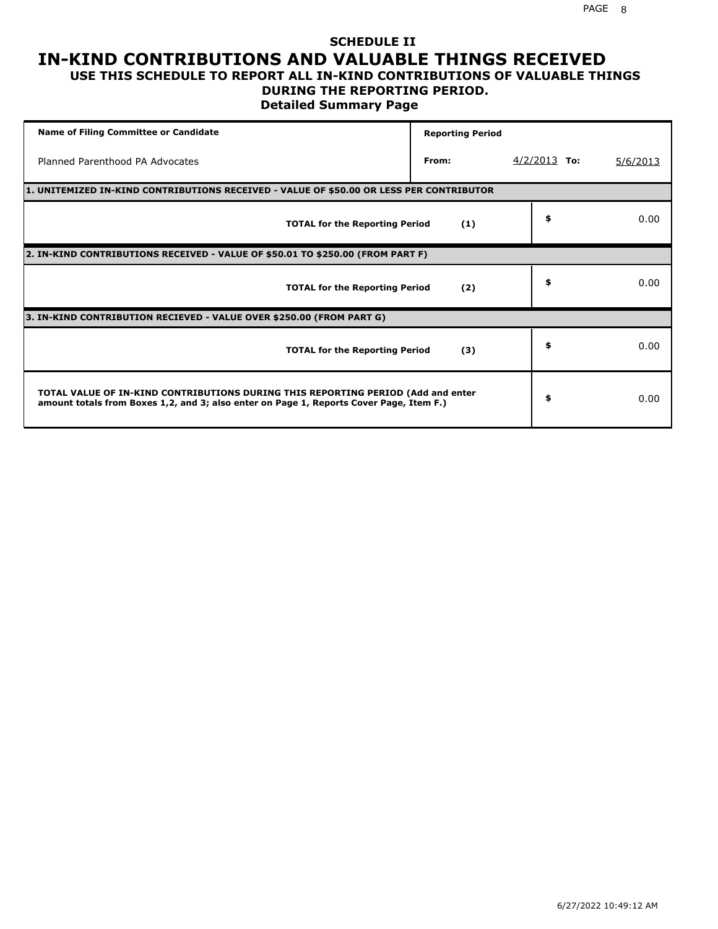### **SCHEDULE II IN-KIND CONTRIBUTIONS AND VALUABLE THINGS RECEIVED USE THIS SCHEDULE TO REPORT ALL IN-KIND CONTRIBUTIONS OF VALUABLE THINGS**

### **DURING THE REPORTING PERIOD.**

**Detailed Summary Page**

| <b>Name of Filing Committee or Candidate</b>                                                                                                                                | <b>Reporting Period</b> |                |          |
|-----------------------------------------------------------------------------------------------------------------------------------------------------------------------------|-------------------------|----------------|----------|
| Planned Parenthood PA Advocates                                                                                                                                             | From:                   | $4/2/2013$ To: | 5/6/2013 |
| 1. UNITEMIZED IN-KIND CONTRIBUTIONS RECEIVED - VALUE OF \$50.00 OR LESS PER CONTRIBUTOR                                                                                     |                         |                |          |
| <b>TOTAL for the Reporting Period</b>                                                                                                                                       | (1)                     | \$             | 0.00     |
| 2. IN-KIND CONTRIBUTIONS RECEIVED - VALUE OF \$50.01 TO \$250.00 (FROM PART F)                                                                                              |                         |                |          |
| <b>TOTAL for the Reporting Period</b>                                                                                                                                       | (2)                     | \$             | 0.00     |
| 3. IN-KIND CONTRIBUTION RECIEVED - VALUE OVER \$250.00 (FROM PART G)                                                                                                        |                         |                |          |
| <b>TOTAL for the Reporting Period</b>                                                                                                                                       | (3)                     | \$             | 0.00     |
| TOTAL VALUE OF IN-KIND CONTRIBUTIONS DURING THIS REPORTING PERIOD (Add and enter<br>amount totals from Boxes 1,2, and 3; also enter on Page 1, Reports Cover Page, Item F.) |                         | \$             | 0.00     |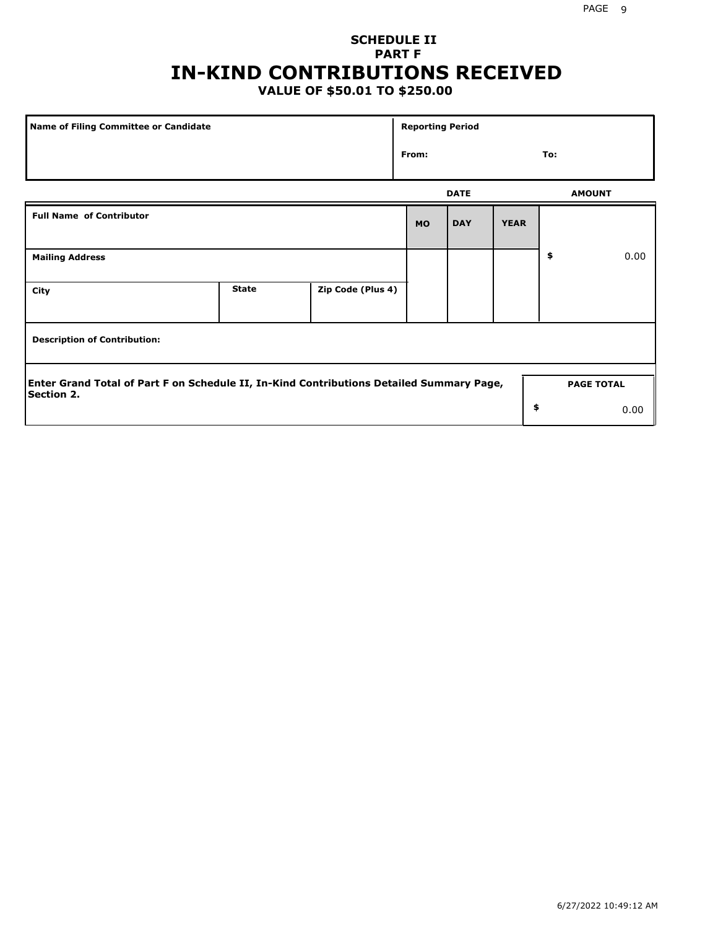### **SCHEDULE II PART F IN-KIND CONTRIBUTIONS RECEIVED**

### **VALUE OF \$50.01 TO \$250.00**

| <b>Name of Filing Committee or Candidate</b>                                                                  |              |                   |           | <b>Reporting Period</b> |             |    |                   |  |  |
|---------------------------------------------------------------------------------------------------------------|--------------|-------------------|-----------|-------------------------|-------------|----|-------------------|--|--|
|                                                                                                               | From:        |                   |           | To:                     |             |    |                   |  |  |
|                                                                                                               |              |                   |           | <b>DATE</b>             |             |    | <b>AMOUNT</b>     |  |  |
| <b>Full Name of Contributor</b>                                                                               |              |                   | <b>MO</b> | <b>DAY</b>              | <b>YEAR</b> |    |                   |  |  |
| <b>Mailing Address</b>                                                                                        |              |                   |           |                         |             | \$ | 0.00              |  |  |
| City                                                                                                          | <b>State</b> | Zip Code (Plus 4) |           |                         |             |    |                   |  |  |
| <b>Description of Contribution:</b>                                                                           |              |                   |           |                         |             |    |                   |  |  |
| Enter Grand Total of Part F on Schedule II, In-Kind Contributions Detailed Summary Page,<br><b>Section 2.</b> |              |                   |           |                         |             |    | <b>PAGE TOTAL</b> |  |  |
|                                                                                                               |              |                   |           |                         | \$          |    | 0.00              |  |  |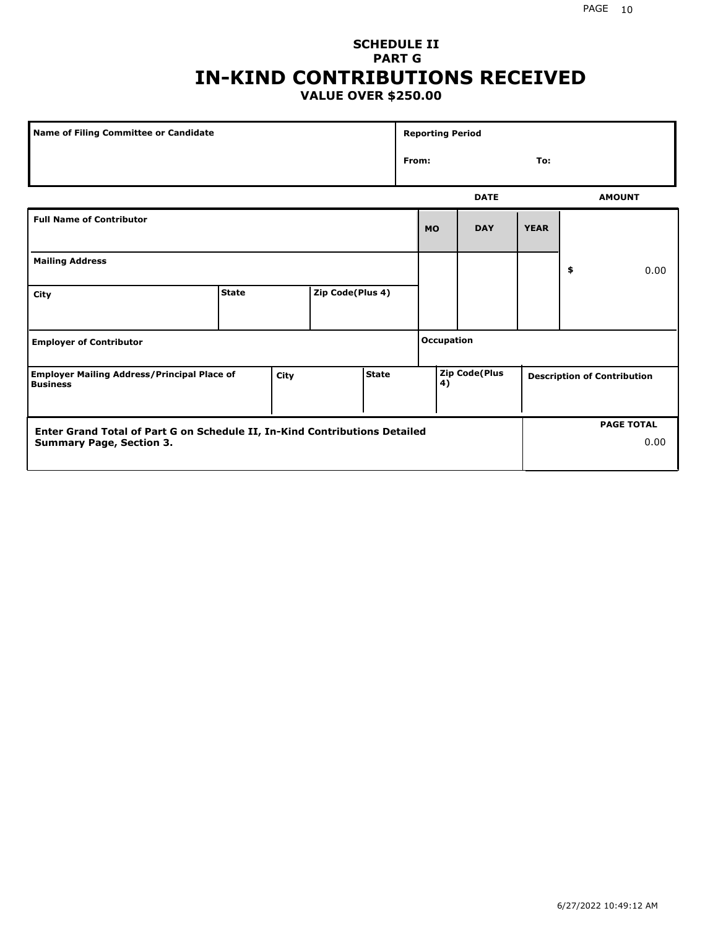### **SCHEDULE II PART G IN-KIND CONTRIBUTIONS RECEIVED VALUE OVER \$250.00**

| Name of Filing Committee or Candidate                                                         |              |  |                  |    | <b>Reporting Period</b> |             |             |                                    |               |
|-----------------------------------------------------------------------------------------------|--------------|--|------------------|----|-------------------------|-------------|-------------|------------------------------------|---------------|
|                                                                                               |              |  |                  |    | From:<br>To:            |             |             |                                    |               |
|                                                                                               |              |  |                  |    |                         | <b>DATE</b> |             |                                    | <b>AMOUNT</b> |
| <b>Full Name of Contributor</b>                                                               |              |  |                  |    | <b>MO</b>               | <b>DAY</b>  | <b>YEAR</b> |                                    |               |
| <b>Mailing Address</b>                                                                        |              |  |                  |    |                         |             |             | \$                                 | 0.00          |
| City                                                                                          | <b>State</b> |  | Zip Code(Plus 4) |    |                         |             |             |                                    |               |
| <b>Employer of Contributor</b>                                                                |              |  |                  |    | <b>Occupation</b>       |             |             |                                    |               |
| <b>State</b><br><b>Employer Mailing Address/Principal Place of</b><br>City<br><b>Business</b> |              |  |                  | 4) | Zip Code(Plus           |             |             | <b>Description of Contribution</b> |               |

| <b>Enter Grand Total of Part G on Schedule II, In-Kind Contributions Detailed</b> |  | <b>PAGE TOTAL</b> |
|-----------------------------------------------------------------------------------|--|-------------------|
| <b>Summary Page, Section 3.</b>                                                   |  | 0.00              |
|                                                                                   |  |                   |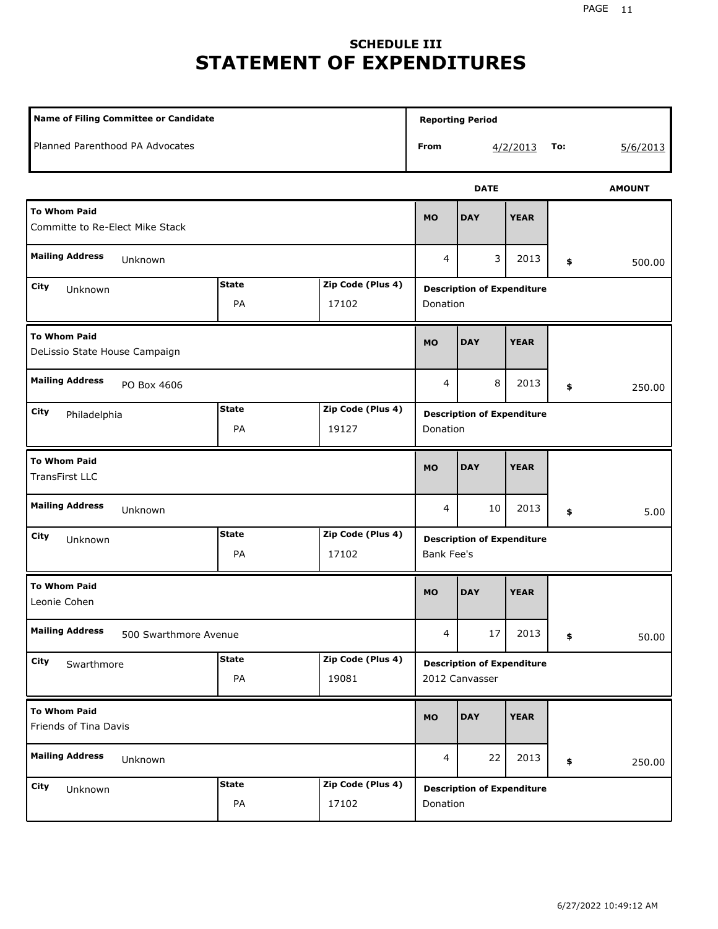## **SCHEDULE III STATEMENT OF EXPENDITURES**

| <b>Name of Filing Committee or Candidate</b>           |                    |                            | <b>Reporting Period</b>                                |             |                 |    |               |  |
|--------------------------------------------------------|--------------------|----------------------------|--------------------------------------------------------|-------------|-----------------|----|---------------|--|
| Planned Parenthood PA Advocates                        |                    |                            | From                                                   |             | To:<br>4/2/2013 |    | 5/6/2013      |  |
|                                                        |                    |                            |                                                        | <b>DATE</b> |                 |    | <b>AMOUNT</b> |  |
| <b>To Whom Paid</b><br>Committe to Re-Elect Mike Stack |                    |                            | <b>MO</b>                                              | <b>DAY</b>  | <b>YEAR</b>     |    |               |  |
| <b>Mailing Address</b><br>Unknown                      |                    |                            | 4                                                      | 3           | 2013            | \$ | 500.00        |  |
| City<br>Unknown                                        | <b>State</b><br>PA | Zip Code (Plus 4)<br>17102 | <b>Description of Expenditure</b><br>Donation          |             |                 |    |               |  |
| <b>To Whom Paid</b><br>DeLissio State House Campaign   |                    |                            |                                                        | <b>DAY</b>  | <b>YEAR</b>     |    |               |  |
| <b>Mailing Address</b><br>PO Box 4606                  |                    |                            | 4                                                      | 8           | 2013            | \$ | 250.00        |  |
| City<br>Philadelphia                                   | <b>State</b><br>PA | Zip Code (Plus 4)<br>19127 | <b>Description of Expenditure</b><br>Donation          |             |                 |    |               |  |
| <b>To Whom Paid</b><br><b>TransFirst LLC</b>           |                    |                            | <b>MO</b>                                              | <b>DAY</b>  | <b>YEAR</b>     |    |               |  |
| <b>Mailing Address</b><br>Unknown                      |                    |                            | 4                                                      | 10          | 2013            | \$ | 5.00          |  |
| City<br>Unknown                                        | <b>State</b><br>PA | Zip Code (Plus 4)<br>17102 | <b>Description of Expenditure</b><br><b>Bank Fee's</b> |             |                 |    |               |  |
| <b>To Whom Paid</b><br>Leonie Cohen                    |                    |                            | <b>MO</b>                                              | <b>DAY</b>  | <b>YEAR</b>     |    |               |  |
| <b>Mailing Address</b><br>500 Swarthmore Avenue        |                    |                            | $\overline{4}$                                         | 17          | 2013            | \$ | 50.00         |  |
| City<br>Swarthmore                                     | <b>State</b><br>PA | Zip Code (Plus 4)<br>19081 | <b>Description of Expenditure</b><br>2012 Canvasser    |             |                 |    |               |  |
| <b>To Whom Paid</b><br>Friends of Tina Davis           |                    |                            | <b>MO</b>                                              | <b>DAY</b>  | <b>YEAR</b>     |    |               |  |
| <b>Mailing Address</b><br>Unknown                      |                    |                            | 4                                                      | 22          | 2013            | \$ | 250.00        |  |
| City<br>Unknown                                        | <b>State</b><br>PA | Zip Code (Plus 4)<br>17102 | <b>Description of Expenditure</b><br>Donation          |             |                 |    |               |  |